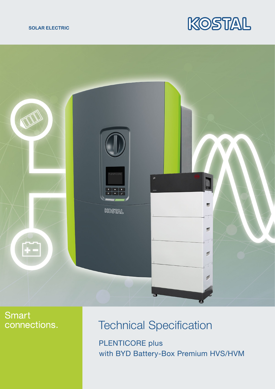





## **Smart** connections.

## Technical Specification

with BYD Battery-Box Premium HVS/HVM PLENTICORE plus